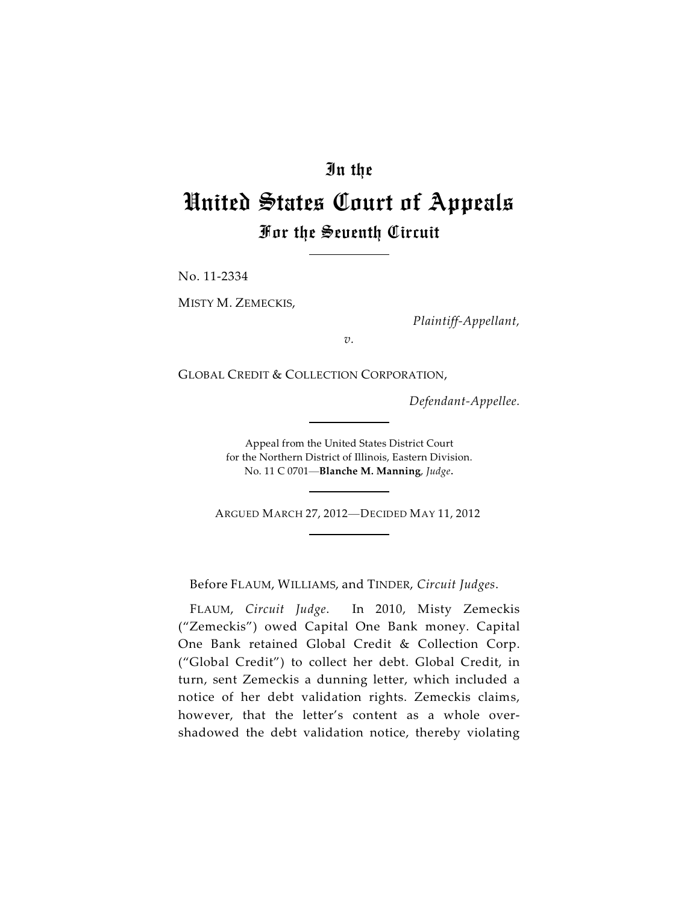# In the

# United States Court of Appeals For the Seventh Circuit

No. 11-2334

MISTY M. ZEMECKIS,

*Plaintiff-Appellant,*

*v.*

GLOBAL CREDIT & COLLECTION CORPORATION,

*Defendant-Appellee.*

Appeal from the United States District Court for the Northern District of Illinois, Eastern Division. No. 11 C 0701—**Blanche M. Manning**, *Judge*.

ARGUED MARCH 27, 2012—DECIDED MAY 11, 2012

Before FLAUM, WILLIAMS, and TINDER, *Circuit Judges*.

FLAUM, *Circuit Judge*. In 2010, Misty Zemeckis ("Zemeckis") owed Capital One Bank money. Capital One Bank retained Global Credit & Collection Corp. ("Global Credit") to collect her debt. Global Credit, in turn, sent Zemeckis a dunning letter, which included a notice of her debt validation rights. Zemeckis claims, however, that the letter's content as a whole overshadowed the debt validation notice, thereby violating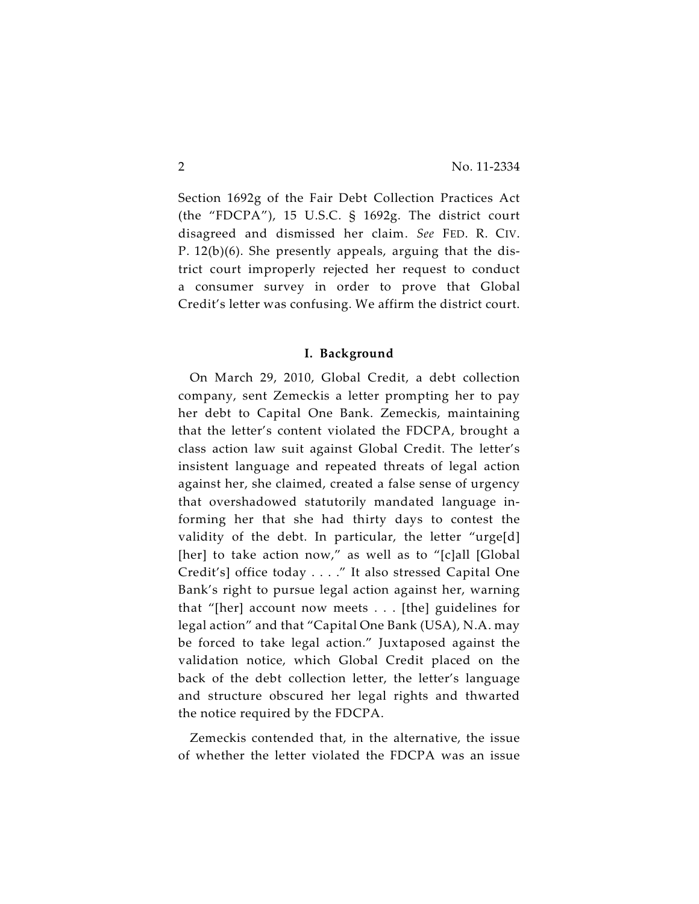Section 1692g of the Fair Debt Collection Practices Act (the "FDCPA"), 15 U.S.C. § 1692g. The district court disagreed and dismissed her claim. *See* FED. R. CIV. P. 12(b)(6). She presently appeals, arguing that the district court improperly rejected her request to conduct a consumer survey in order to prove that Global Credit's letter was confusing. We affirm the district court.

#### **I. Background**

On March 29, 2010, Global Credit, a debt collection company, sent Zemeckis a letter prompting her to pay her debt to Capital One Bank. Zemeckis, maintaining that the letter's content violated the FDCPA, brought a class action law suit against Global Credit. The letter's insistent language and repeated threats of legal action against her, she claimed, created a false sense of urgency that overshadowed statutorily mandated language informing her that she had thirty days to contest the validity of the debt. In particular, the letter "urge[d] [her] to take action now," as well as to "[c]all [Global Credit's] office today . . . ." It also stressed Capital One Bank's right to pursue legal action against her, warning that "[her] account now meets . . . [the] guidelines for legal action" and that "Capital One Bank (USA), N.A. may be forced to take legal action." Juxtaposed against the validation notice, which Global Credit placed on the back of the debt collection letter, the letter's language and structure obscured her legal rights and thwarted the notice required by the FDCPA.

Zemeckis contended that, in the alternative, the issue of whether the letter violated the FDCPA was an issue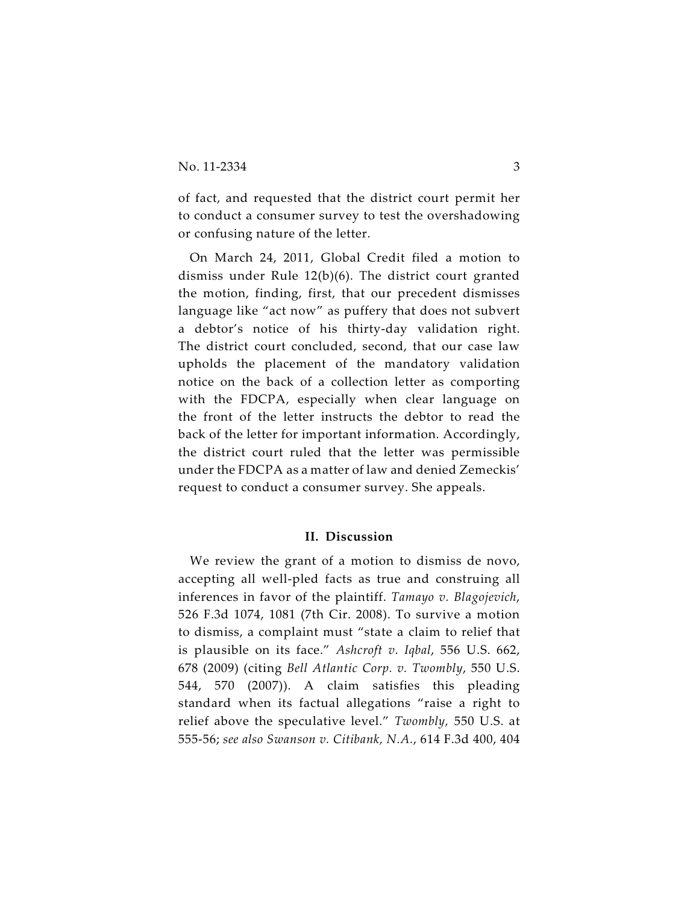of fact, and requested that the district court permit her to conduct a consumer survey to test the overshadowing or confusing nature of the letter.

On March 24, 2011, Global Credit filed a motion to dismiss under Rule 12(b)(6). The district court granted the motion, finding, first, that our precedent dismisses language like "act now" as puffery that does not subvert a debtor's notice of his thirty-day validation right. The district court concluded, second, that our case law upholds the placement of the mandatory validation notice on the back of a collection letter as comporting with the FDCPA, especially when clear language on the front of the letter instructs the debtor to read the back of the letter for important information. Accordingly, the district court ruled that the letter was permissible under the FDCPA as a matter of law and denied Zemeckis' request to conduct a consumer survey. She appeals.

#### **II. Discussion**

We review the grant of a motion to dismiss de novo, accepting all well-pled facts as true and construing all inferences in favor of the plaintiff. *Tamayo v. Blagojevich*, 526 F.3d 1074, 1081 (7th Cir. 2008). To survive a motion to dismiss, a complaint must "state a claim to relief that is plausible on its face." *Ashcroft v. Iqbal*, 556 U.S. 662, 678 (2009) (citing *Bell Atlantic Corp. v. Twombly*, 550 U.S. 544, 570 (2007)). A claim satisfies this pleading standard when its factual allegations "raise a right to relief above the speculative level." *Twombly,* 550 U.S. at 555-56; *see also Swanson v. Citibank, N.A.*, 614 F.3d 400, 404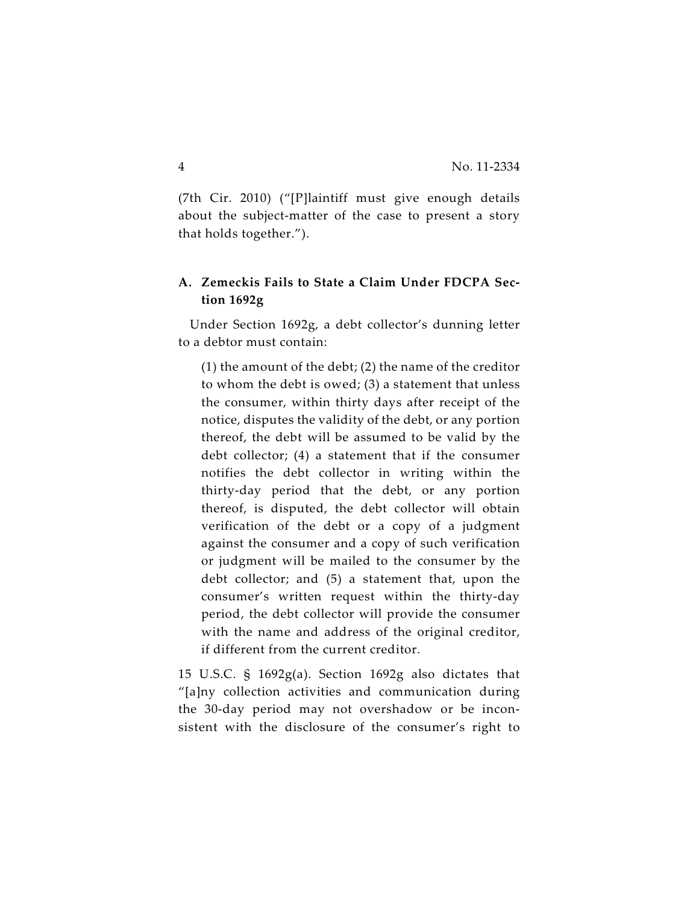(7th Cir. 2010) ("[P]laintiff must give enough details about the subject-matter of the case to present a story that holds together.").

## **A. Zemeckis Fails to State a Claim Under FDCPA Section 1692g**

Under Section 1692g, a debt collector's dunning letter to a debtor must contain:

(1) the amount of the debt; (2) the name of the creditor to whom the debt is owed; (3) a statement that unless the consumer, within thirty days after receipt of the notice, disputes the validity of the debt, or any portion thereof, the debt will be assumed to be valid by the debt collector; (4) a statement that if the consumer notifies the debt collector in writing within the thirty-day period that the debt, or any portion thereof, is disputed, the debt collector will obtain verification of the debt or a copy of a judgment against the consumer and a copy of such verification or judgment will be mailed to the consumer by the debt collector; and (5) a statement that, upon the consumer's written request within the thirty-day period, the debt collector will provide the consumer with the name and address of the original creditor, if different from the current creditor.

15 U.S.C. § 1692g(a). Section 1692g also dictates that "[a]ny collection activities and communication during the 30-day period may not overshadow or be inconsistent with the disclosure of the consumer's right to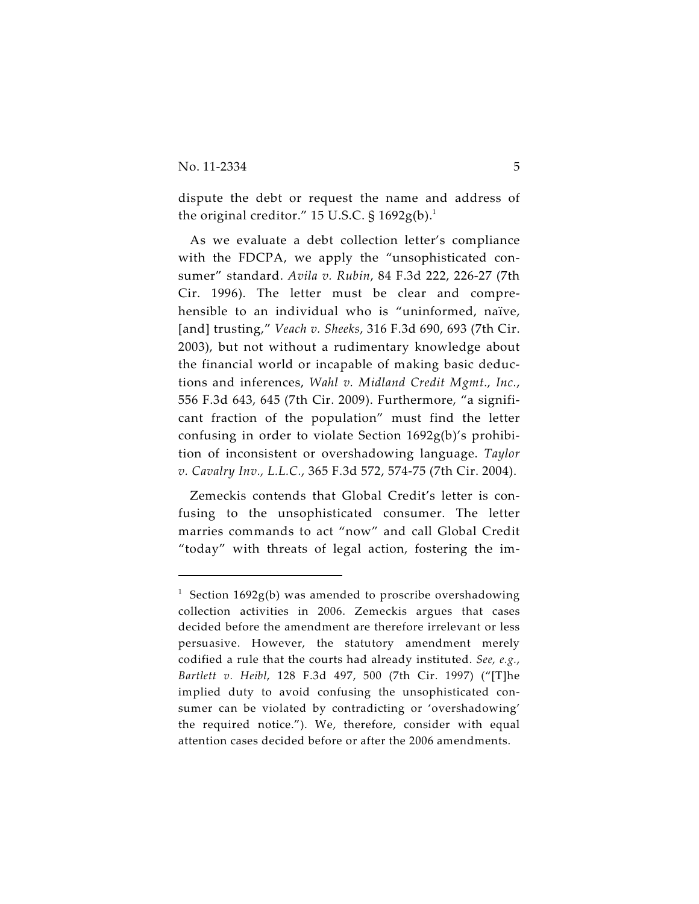dispute the debt or request the name and address of the original creditor." 15 U.S.C.  $\S$  1692g(b).<sup>1</sup>

As we evaluate a debt collection letter's compliance with the FDCPA, we apply the "unsophisticated consumer" standard. *Avila v. Rubin*, 84 F.3d 222, 226-27 (7th Cir. 1996). The letter must be clear and comprehensible to an individual who is "uninformed, naïve, [and] trusting," *Veach v. Sheeks*, 316 F.3d 690, 693 (7th Cir. 2003), but not without a rudimentary knowledge about the financial world or incapable of making basic deductions and inferences, *Wahl v. Midland Credit Mgmt., Inc.*, 556 F.3d 643, 645 (7th Cir. 2009). Furthermore, "a significant fraction of the population" must find the letter confusing in order to violate Section 1692g(b)'s prohibition of inconsistent or overshadowing language. *Taylor v. Cavalry Inv., L.L.C.*, 365 F.3d 572, 574-75 (7th Cir. 2004).

Zemeckis contends that Global Credit's letter is confusing to the unsophisticated consumer. The letter marries commands to act "now" and call Global Credit "today" with threats of legal action, fostering the im-

<sup>&</sup>lt;sup>1</sup> Section 1692g(b) was amended to proscribe overshadowing collection activities in 2006. Zemeckis argues that cases decided before the amendment are therefore irrelevant or less persuasive. However, the statutory amendment merely codified a rule that the courts had already instituted. *See, e.g.*, *Bartlett v. Heibl*, 128 F.3d 497, 500 (7th Cir. 1997) ("[T]he implied duty to avoid confusing the unsophisticated consumer can be violated by contradicting or 'overshadowing' the required notice."). We, therefore, consider with equal attention cases decided before or after the 2006 amendments.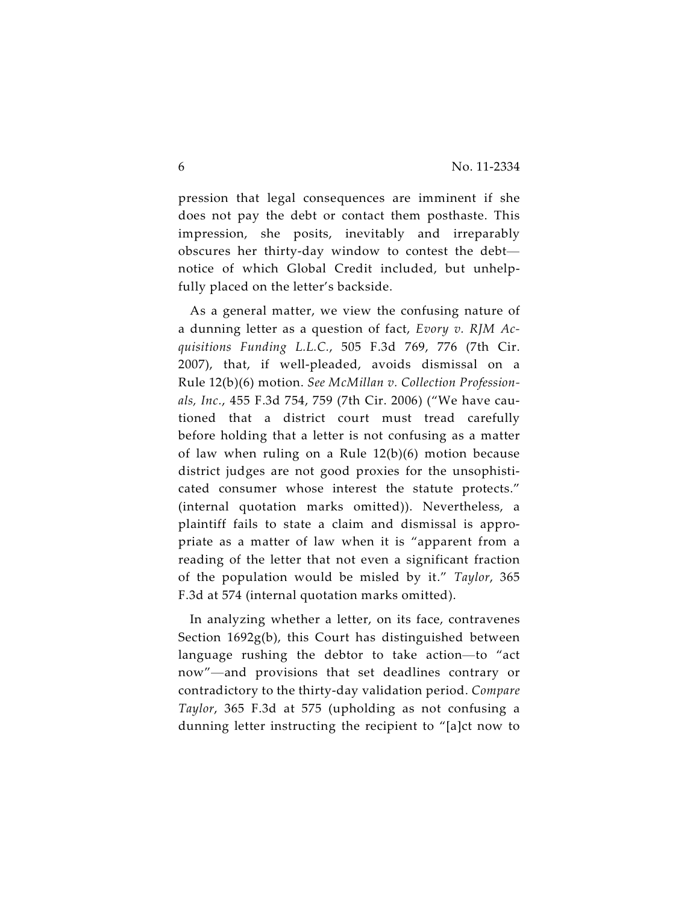pression that legal consequences are imminent if she does not pay the debt or contact them posthaste. This impression, she posits, inevitably and irreparably obscures her thirty-day window to contest the debt notice of which Global Credit included, but unhelpfully placed on the letter's backside.

As a general matter, we view the confusing nature of a dunning letter as a question of fact, *Evory v. RJM Acquisitions Funding L.L.C.*, 505 F.3d 769, 776 (7th Cir. 2007), that, if well-pleaded, avoids dismissal on a Rule 12(b)(6) motion. *See McMillan v. Collection Professionals, Inc.*, 455 F.3d 754, 759 (7th Cir. 2006) ("We have cautioned that a district court must tread carefully before holding that a letter is not confusing as a matter of law when ruling on a Rule 12(b)(6) motion because district judges are not good proxies for the unsophisticated consumer whose interest the statute protects." (internal quotation marks omitted)). Nevertheless, a plaintiff fails to state a claim and dismissal is appropriate as a matter of law when it is "apparent from a reading of the letter that not even a significant fraction of the population would be misled by it." *Taylor*, 365 F.3d at 574 (internal quotation marks omitted).

In analyzing whether a letter, on its face, contravenes Section 1692g(b), this Court has distinguished between language rushing the debtor to take action—to "act now"—and provisions that set deadlines contrary or contradictory to the thirty-day validation period. *Compare Taylor*, 365 F.3d at 575 (upholding as not confusing a dunning letter instructing the recipient to "[a]ct now to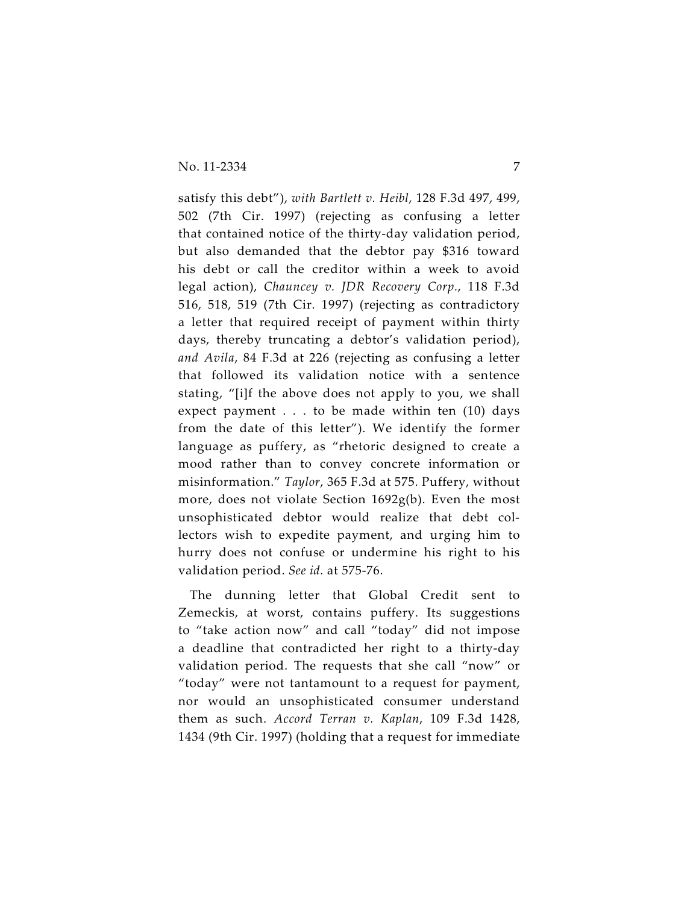satisfy this debt"), *with Bartlett v. Heibl*, 128 F.3d 497, 499, 502 (7th Cir. 1997) (rejecting as confusing a letter that contained notice of the thirty-day validation period, but also demanded that the debtor pay \$316 toward his debt or call the creditor within a week to avoid legal action), *Chauncey v. JDR Recovery Corp.*, 118 F.3d 516, 518, 519 (7th Cir. 1997) (rejecting as contradictory a letter that required receipt of payment within thirty days, thereby truncating a debtor's validation period), *and Avila*, 84 F.3d at 226 (rejecting as confusing a letter that followed its validation notice with a sentence stating, "[i]f the above does not apply to you, we shall expect payment . . . to be made within ten (10) days from the date of this letter"). We identify the former language as puffery, as "rhetoric designed to create a mood rather than to convey concrete information or misinformation." *Taylor*, 365 F.3d at 575. Puffery, without more, does not violate Section 1692g(b). Even the most unsophisticated debtor would realize that debt collectors wish to expedite payment, and urging him to hurry does not confuse or undermine his right to his validation period. *See id.* at 575-76.

The dunning letter that Global Credit sent to Zemeckis, at worst, contains puffery. Its suggestions to "take action now" and call "today" did not impose a deadline that contradicted her right to a thirty-day validation period. The requests that she call "now" or "today" were not tantamount to a request for payment, nor would an unsophisticated consumer understand them as such. *Accord Terran v. Kaplan*, 109 F.3d 1428, 1434 (9th Cir. 1997) (holding that a request for immediate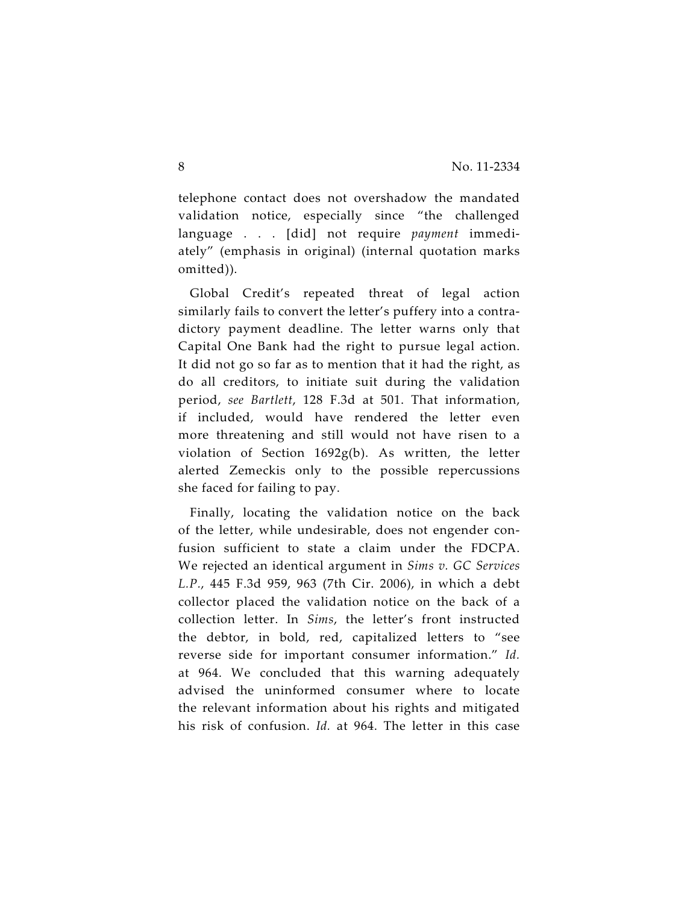telephone contact does not overshadow the mandated validation notice, especially since "the challenged language . . . [did] not require *payment* immediately" (emphasis in original) (internal quotation marks omitted)).

Global Credit's repeated threat of legal action similarly fails to convert the letter's puffery into a contradictory payment deadline. The letter warns only that Capital One Bank had the right to pursue legal action. It did not go so far as to mention that it had the right, as do all creditors, to initiate suit during the validation period, *see Bartlett*, 128 F.3d at 501. That information, if included, would have rendered the letter even more threatening and still would not have risen to a violation of Section 1692g(b). As written, the letter alerted Zemeckis only to the possible repercussions she faced for failing to pay.

Finally, locating the validation notice on the back of the letter, while undesirable, does not engender confusion sufficient to state a claim under the FDCPA. We rejected an identical argument in *Sims v. GC Services L.P.*, 445 F.3d 959, 963 (7th Cir. 2006), in which a debt collector placed the validation notice on the back of a collection letter. In *Sims*, the letter's front instructed the debtor, in bold, red, capitalized letters to "see reverse side for important consumer information." *Id.* at 964. We concluded that this warning adequately advised the uninformed consumer where to locate the relevant information about his rights and mitigated his risk of confusion. *Id.* at 964. The letter in this case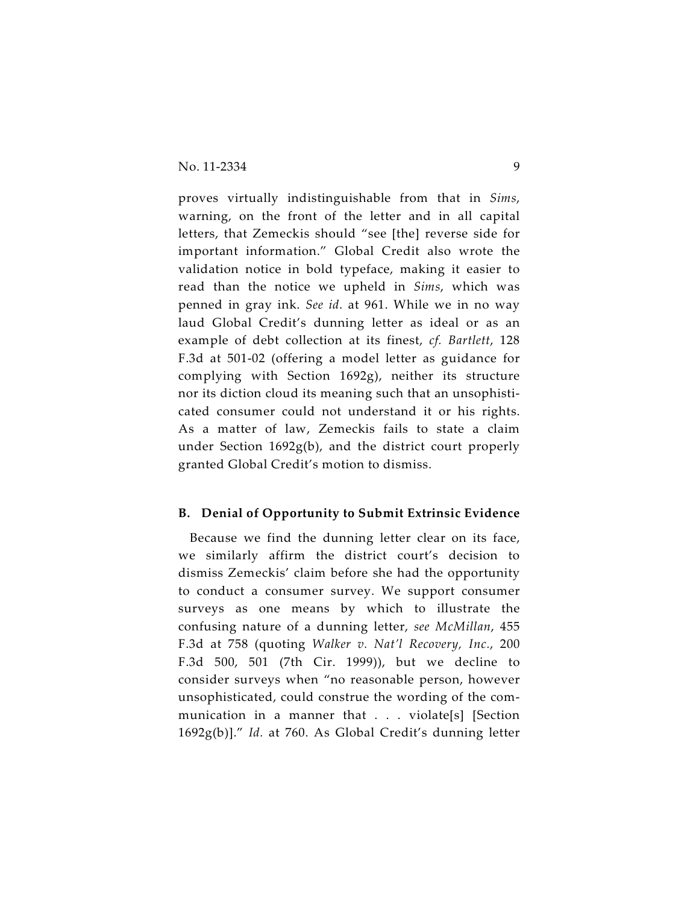proves virtually indistinguishable from that in *Sims*, warning, on the front of the letter and in all capital letters, that Zemeckis should "see [the] reverse side for important information." Global Credit also wrote the validation notice in bold typeface, making it easier to read than the notice we upheld in *Sims*, which was penned in gray ink. *See id*. at 961. While we in no way laud Global Credit's dunning letter as ideal or as an example of debt collection at its finest, *cf. Bartlett*, 128 F.3d at 501-02 (offering a model letter as guidance for complying with Section 1692g), neither its structure nor its diction cloud its meaning such that an unsophisticated consumer could not understand it or his rights. As a matter of law, Zemeckis fails to state a claim under Section 1692g(b), and the district court properly granted Global Credit's motion to dismiss.

#### **B. Denial of Opportunity to Submit Extrinsic Evidence**

Because we find the dunning letter clear on its face, we similarly affirm the district court's decision to dismiss Zemeckis' claim before she had the opportunity to conduct a consumer survey. We support consumer surveys as one means by which to illustrate the confusing nature of a dunning letter, *see McMillan*, 455 F.3d at 758 (quoting *Walker v. Nat'l Recovery, Inc.*, 200 F.3d 500, 501 (7th Cir. 1999)), but we decline to consider surveys when "no reasonable person, however unsophisticated, could construe the wording of the communication in a manner that . . . violate[s] [Section 1692g(b)]." *Id.* at 760. As Global Credit's dunning letter